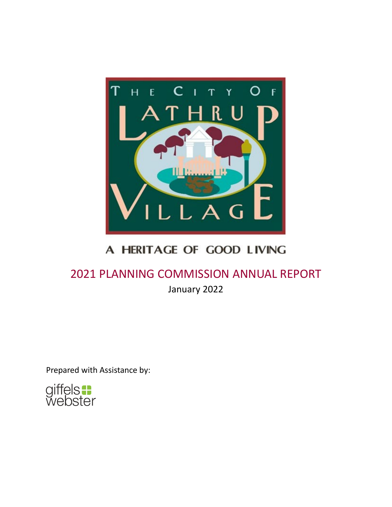

## A HERITAGE OF GOOD LIVING

# 2021 PLANNING COMMISSION ANNUAL REPORT

January 2022

Prepared with Assistance by:

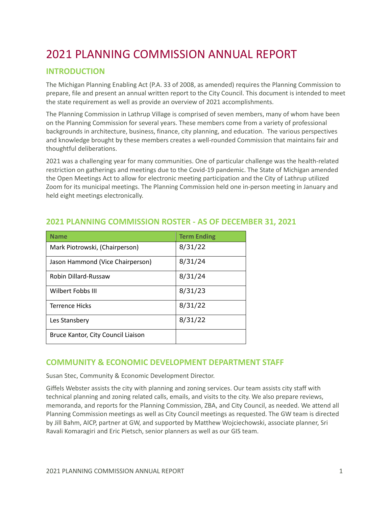## 2021 PLANNING COMMISSION ANNUAL REPORT

## **INTRODUCTION**

The Michigan Planning Enabling Act (P.A. 33 of 2008, as amended) requires the Planning Commission to prepare, file and present an annual written report to the City Council. This document is intended to meet the state requirement as well as provide an overview of 2021 accomplishments.

The Planning Commission in Lathrup Village is comprised of seven members, many of whom have been on the Planning Commission for several years. These members come from a variety of professional backgrounds in architecture, business, finance, city planning, and education. The various perspectives and knowledge brought by these members creates a well-rounded Commission that maintains fair and thoughtful deliberations.

2021 was a challenging year for many communities. One of particular challenge was the health-related restriction on gatherings and meetings due to the Covid-19 pandemic. The State of Michigan amended the Open Meetings Act to allow for electronic meeting participation and the City of Lathrup utilized Zoom for its municipal meetings. The Planning Commission held one in-person meeting in January and held eight meetings electronically.

| <b>Name</b>                        | <b>Term Ending</b> |
|------------------------------------|--------------------|
| Mark Piotrowski, (Chairperson)     | 8/31/22            |
| Jason Hammond (Vice Chairperson)   | 8/31/24            |
| <b>Robin Dillard-Russaw</b>        | 8/31/24            |
| Wilbert Fobbs III                  | 8/31/23            |
| <b>Terrence Hicks</b>              | 8/31/22            |
| Les Stansbery                      | 8/31/22            |
| Bruce Kantor, City Council Liaison |                    |

## **2021 PLANNING COMMISSION ROSTER - AS OF DECEMBER 31, 2021**

## **COMMUNITY & ECONOMIC DEVELOPMENT DEPARTMENT STAFF**

Susan Stec, Community & Economic Development Director.

Giffels Webster assists the city with planning and zoning services. Our team assists city staff with technical planning and zoning related calls, emails, and visits to the city. We also prepare reviews, memoranda, and reports for the Planning Commission, ZBA, and City Council, as needed. We attend all Planning Commission meetings as well as City Council meetings as requested. The GW team is directed by Jill Bahm, AICP, partner at GW, and supported by Matthew Wojciechowski, associate planner, Sri Ravali Komaragiri and Eric Pietsch, senior planners as well as our GIS team.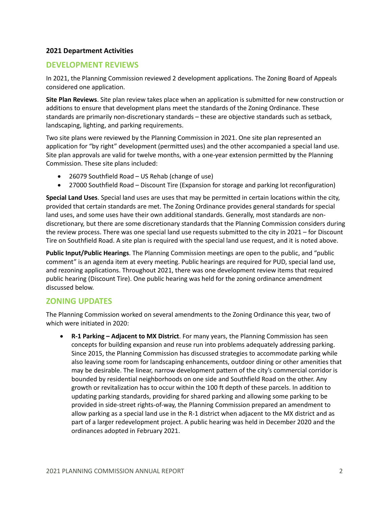#### **2021 Department Activities**

## **DEVELOPMENT REVIEWS**

In 2021, the Planning Commission reviewed 2 development applications. The Zoning Board of Appeals considered one application.

**Site Plan Reviews**. Site plan review takes place when an application is submitted for new construction or additions to ensure that development plans meet the standards of the Zoning Ordinance. These standards are primarily non-discretionary standards – these are objective standards such as setback, landscaping, lighting, and parking requirements.

Two site plans were reviewed by the Planning Commission in 2021. One site plan represented an application for "by right" development (permitted uses) and the other accompanied a special land use. Site plan approvals are valid for twelve months, with a one-year extension permitted by the Planning Commission. These site plans included:

- 26079 Southfield Road US Rehab (change of use)
- 27000 Southfield Road Discount Tire (Expansion for storage and parking lot reconfiguration)

**Special Land Uses**. Special land uses are uses that may be permitted in certain locations within the city, provided that certain standards are met. The Zoning Ordinance provides general standards for special land uses, and some uses have their own additional standards. Generally, most standards are nondiscretionary, but there are some discretionary standards that the Planning Commission considers during the review process. There was one special land use requests submitted to the city in 2021 – for Discount Tire on Southfield Road. A site plan is required with the special land use request, and it is noted above.

**Public Input/Public Hearings**. The Planning Commission meetings are open to the public, and "public comment" is an agenda item at every meeting. Public hearings are required for PUD, special land use, and rezoning applications. Throughout 2021, there was one development review items that required public hearing (Discount Tire). One public hearing was held for the zoning ordinance amendment discussed below.

## **ZONING UPDATES**

The Planning Commission worked on several amendments to the Zoning Ordinance this year, two of which were initiated in 2020:

• **R-1 Parking – Adjacent to MX District**. For many years, the Planning Commission has seen concepts for building expansion and reuse run into problems adequately addressing parking. Since 2015, the Planning Commission has discussed strategies to accommodate parking while also leaving some room for landscaping enhancements, outdoor dining or other amenities that may be desirable. The linear, narrow development pattern of the city's commercial corridor is bounded by residential neighborhoods on one side and Southfield Road on the other. Any growth or revitalization has to occur within the 100 ft depth of these parcels. In addition to updating parking standards, providing for shared parking and allowing some parking to be provided in side-street rights-of-way, the Planning Commission prepared an amendment to allow parking as a special land use in the R-1 district when adjacent to the MX district and as part of a larger redevelopment project. A public hearing was held in December 2020 and the ordinances adopted in February 2021.